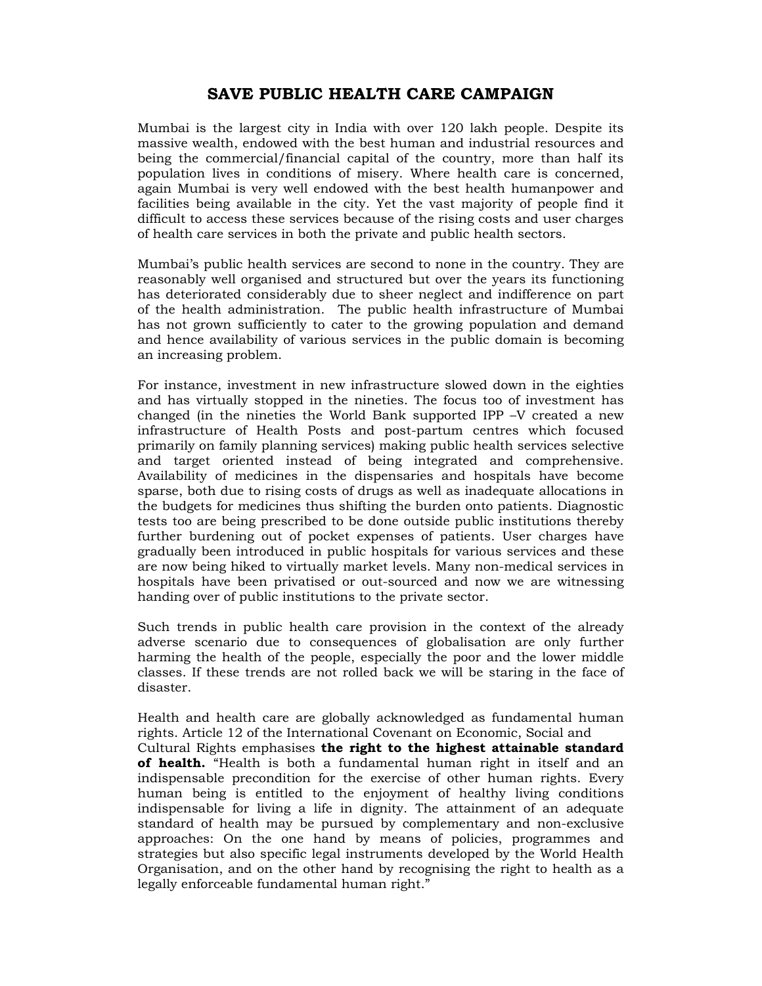## **SAVE PUBLIC HEALTH CARE CAMPAIGN**

Mumbai is the largest city in India with over 120 lakh people. Despite its massive wealth, endowed with the best human and industrial resources and being the commercial/financial capital of the country, more than half its population lives in conditions of misery. Where health care is concerned, again Mumbai is very well endowed with the best health humanpower and facilities being available in the city. Yet the vast majority of people find it difficult to access these services because of the rising costs and user charges of health care services in both the private and public health sectors.

Mumbai's public health services are second to none in the country. They are reasonably well organised and structured but over the years its functioning has deteriorated considerably due to sheer neglect and indifference on part of the health administration. The public health infrastructure of Mumbai has not grown sufficiently to cater to the growing population and demand and hence availability of various services in the public domain is becoming an increasing problem.

For instance, investment in new infrastructure slowed down in the eighties and has virtually stopped in the nineties. The focus too of investment has changed (in the nineties the World Bank supported IPP –V created a new infrastructure of Health Posts and post-partum centres which focused primarily on family planning services) making public health services selective and target oriented instead of being integrated and comprehensive. Availability of medicines in the dispensaries and hospitals have become sparse, both due to rising costs of drugs as well as inadequate allocations in the budgets for medicines thus shifting the burden onto patients. Diagnostic tests too are being prescribed to be done outside public institutions thereby further burdening out of pocket expenses of patients. User charges have gradually been introduced in public hospitals for various services and these are now being hiked to virtually market levels. Many non-medical services in hospitals have been privatised or out-sourced and now we are witnessing handing over of public institutions to the private sector.

Such trends in public health care provision in the context of the already adverse scenario due to consequences of globalisation are only further harming the health of the people, especially the poor and the lower middle classes. If these trends are not rolled back we will be staring in the face of disaster.

Health and health care are globally acknowledged as fundamental human rights. Article 12 of the International Covenant on Economic, Social and Cultural Rights emphasises **the right to the highest attainable standard of health.** "Health is both a fundamental human right in itself and an indispensable precondition for the exercise of other human rights. Every human being is entitled to the enjoyment of healthy living conditions indispensable for living a life in dignity. The attainment of an adequate standard of health may be pursued by complementary and non-exclusive approaches: On the one hand by means of policies, programmes and strategies but also specific legal instruments developed by the World Health Organisation, and on the other hand by recognising the right to health as a legally enforceable fundamental human right."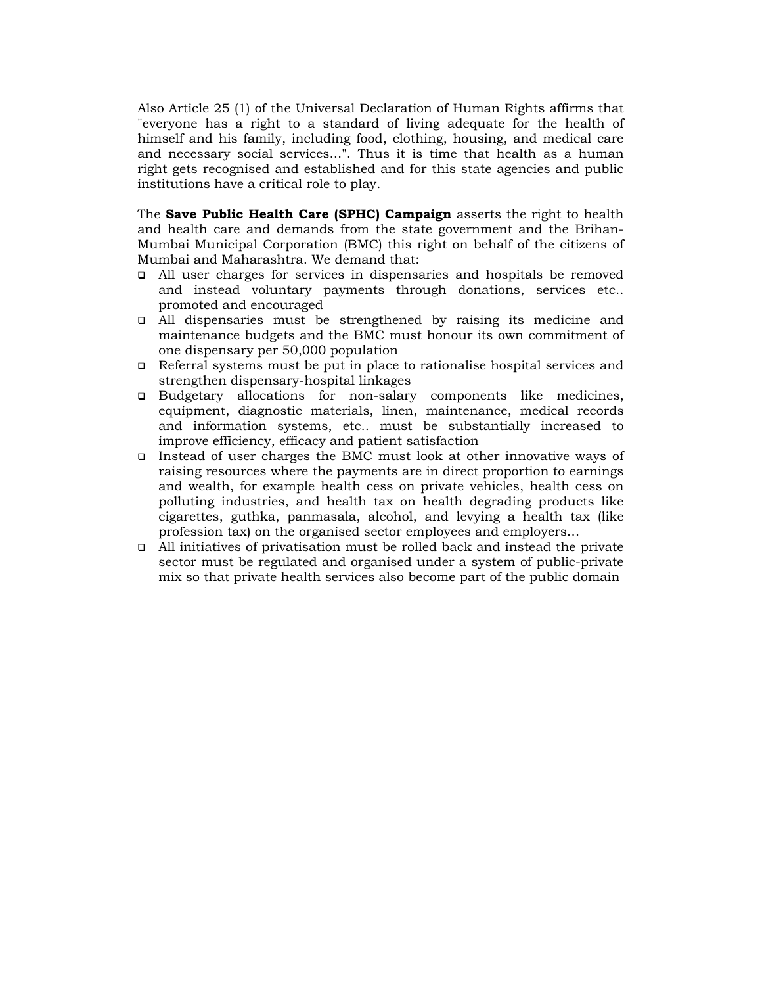Also Article 25 (1) of the Universal Declaration of Human Rights affirms that "everyone has a right to a standard of living adequate for the health of himself and his family, including food, clothing, housing, and medical care and necessary social services...". Thus it is time that health as a human right gets recognised and established and for this state agencies and public institutions have a critical role to play.

The **Save Public Health Care (SPHC) Campaign** asserts the right to health and health care and demands from the state government and the Brihan-Mumbai Municipal Corporation (BMC) this right on behalf of the citizens of Mumbai and Maharashtra. We demand that:

- All user charges for services in dispensaries and hospitals be removed and instead voluntary payments through donations, services etc.. promoted and encouraged
- All dispensaries must be strengthened by raising its medicine and maintenance budgets and the BMC must honour its own commitment of one dispensary per 50,000 population
- Referral systems must be put in place to rationalise hospital services and strengthen dispensary-hospital linkages
- Budgetary allocations for non-salary components like medicines, equipment, diagnostic materials, linen, maintenance, medical records and information systems, etc.. must be substantially increased to improve efficiency, efficacy and patient satisfaction
- Instead of user charges the BMC must look at other innovative ways of raising resources where the payments are in direct proportion to earnings and wealth, for example health cess on private vehicles, health cess on polluting industries, and health tax on health degrading products like cigarettes, guthka, panmasala, alcohol, and levying a health tax (like profession tax) on the organised sector employees and employers…
- All initiatives of privatisation must be rolled back and instead the private sector must be regulated and organised under a system of public-private mix so that private health services also become part of the public domain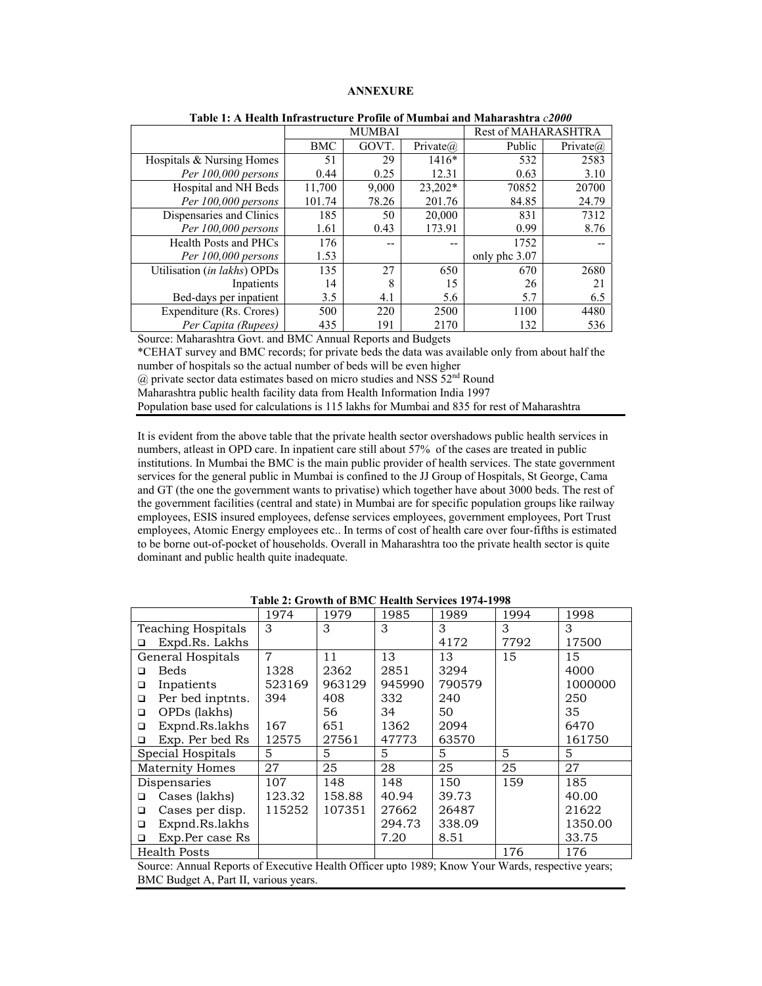## **ANNEXURE**

|                             | <b>MUMBAI</b> |       |             | Rest of MAHARASHTRA |                  |
|-----------------------------|---------------|-------|-------------|---------------------|------------------|
|                             | BMC           | GOVT. | Private $@$ | Public              | Private $\omega$ |
| Hospitals & Nursing Homes   | 51            | 29    | $1416*$     | 532                 | 2583             |
| Per 100,000 persons         | 0.44          | 0.25  | 12.31       | 0.63                | 3.10             |
| Hospital and NH Beds        | 11,700        | 9,000 | 23,202*     | 70852               | 20700            |
| Per 100,000 persons         | 101.74        | 78.26 | 201.76      | 84.85               | 24.79            |
| Dispensaries and Clinics    | 185           | 50    | 20,000      | 831                 | 7312             |
| Per 100,000 persons         | 1.61          | 0.43  | 173.91      | 0.99                | 8.76             |
| Health Posts and PHCs       | 176           | --    | --          | 1752                |                  |
| Per 100,000 persons         | 1.53          |       |             | only phc 3.07       |                  |
| Utilisation (in lakhs) OPDs | 135           | 27    | 650         | 670                 | 2680             |
| Inpatients                  | 14            | 8     | 15          | 26                  | 21               |
| Bed-days per inpatient      | 3.5           | 4.1   | 5.6         | 5.7                 | 6.5              |
| Expenditure (Rs. Crores)    | 500           | 220   | 2500        | 1100                | 4480             |
| Per Capita (Rupees)         | 435           | 191   | 2170        | 132                 | 536              |

Source: Maharashtra Govt. and BMC Annual Reports and Budgets

\*CEHAT survey and BMC records; for private beds the data was available only from about half the number of hospitals so the actual number of beds will be even higher

 $(a)$  private sector data estimates based on micro studies and NSS  $52<sup>nd</sup>$  Round

Maharashtra public health facility data from Health Information India 1997

Population base used for calculations is 115 lakhs for Mumbai and 835 for rest of Maharashtra

It is evident from the above table that the private health sector overshadows public health services in numbers, atleast in OPD care. In inpatient care still about 57% of the cases are treated in public institutions. In Mumbai the BMC is the main public provider of health services. The state government services for the general public in Mumbai is confined to the JJ Group of Hospitals, St George, Cama and GT (the one the government wants to privatise) which together have about 3000 beds. The rest of the government facilities (central and state) in Mumbai are for specific population groups like railway employees, ESIS insured employees, defense services employees, government employees, Port Trust employees, Atomic Energy employees etc.. In terms of cost of health care over four-fifths is estimated to be borne out-of-pocket of households. Overall in Maharashtra too the private health sector is quite dominant and public health quite inadequate.

|                                                                                                  | 1974           | 1979   | 1985   | 1989   | 1994 | 1998    |
|--------------------------------------------------------------------------------------------------|----------------|--------|--------|--------|------|---------|
| Teaching Hospitals                                                                               | 3              | 3      | 3      | 3      | 3    | 3       |
| Expd.Rs. Lakhs<br>□                                                                              |                |        |        | 4172   | 7792 | 17500   |
| General Hospitals                                                                                | $\overline{7}$ | 11     | 13     | 13     | 15   | 15      |
| <b>Beds</b><br>□                                                                                 | 1328           | 2362   | 2851   | 3294   |      | 4000    |
| Inpatients<br>□                                                                                  | 523169         | 963129 | 945990 | 790579 |      | 1000000 |
| Per bed inptnts.<br>□                                                                            | 394            | 408    | 332    | 240    |      | 250     |
| OPDs (lakhs)<br>$\Box$                                                                           |                | 56     | 34     | 50     |      | 35      |
| Expnd.Rs.lakhs<br>$\Box$                                                                         | 167            | 651    | 1362   | 2094   |      | 6470    |
| Exp. Per bed Rs<br>□                                                                             | 12575          | 27561  | 47773  | 63570  |      | 161750  |
| Special Hospitals                                                                                | 5              | 5      | 5      | 5      | 5    | 5       |
| <b>Maternity Homes</b>                                                                           | 27             | 25     | 28     | 25     | 25   | 27      |
| Dispensaries                                                                                     | 107            | 148    | 148    | 150    | 159  | 185     |
| Cases (lakhs)<br>◻                                                                               | 123.32         | 158.88 | 40.94  | 39.73  |      | 40.00   |
| Cases per disp.<br>□                                                                             | 115252         | 107351 | 27662  | 26487  |      | 21622   |
| Expnd.Rs.lakhs<br>□                                                                              |                |        | 294.73 | 338.09 |      | 1350.00 |
| Exp.Per case Rs<br>□                                                                             |                |        | 7.20   | 8.51   |      | 33.75   |
| <b>Health Posts</b>                                                                              |                |        |        |        | 176  | 176     |
| Source: Annual Reports of Executive Health Officer upto 1989; Know Your Wards, respective years; |                |        |        |        |      |         |

**Table 2: Growth of BMC Health Services 1974-1998** 

BMC Budget A, Part II, various years.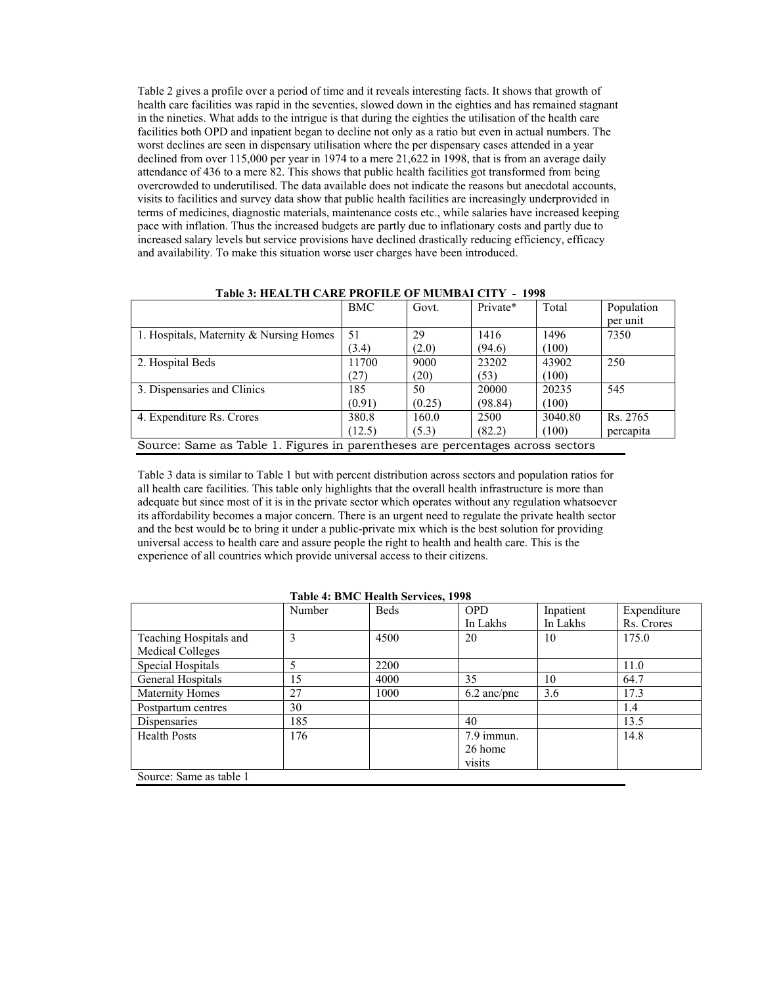Table 2 gives a profile over a period of time and it reveals interesting facts. It shows that growth of health care facilities was rapid in the seventies, slowed down in the eighties and has remained stagnant in the nineties. What adds to the intrigue is that during the eighties the utilisation of the health care facilities both OPD and inpatient began to decline not only as a ratio but even in actual numbers. The worst declines are seen in dispensary utilisation where the per dispensary cases attended in a year declined from over 115,000 per year in 1974 to a mere 21,622 in 1998, that is from an average daily attendance of 436 to a mere 82. This shows that public health facilities got transformed from being overcrowded to underutilised. The data available does not indicate the reasons but anecdotal accounts, visits to facilities and survey data show that public health facilities are increasingly underprovided in terms of medicines, diagnostic materials, maintenance costs etc., while salaries have increased keeping pace with inflation. Thus the increased budgets are partly due to inflationary costs and partly due to increased salary levels but service provisions have declined drastically reducing efficiency, efficacy and availability. To make this situation worse user charges have been introduced.

| Tavie 9. HEALTH CARE I ROFILE OF MOMDAI CITT - 1220                            |        |        |          |         |            |
|--------------------------------------------------------------------------------|--------|--------|----------|---------|------------|
|                                                                                | BMC    | Govt.  | Private* | Total   | Population |
|                                                                                |        |        |          |         | per unit   |
| 1. Hospitals, Maternity & Nursing Homes                                        | -51    | 29     | 1416     | 1496    | 7350       |
|                                                                                | (3.4)  | (2.0)  | (94.6)   | (100)   |            |
| 2. Hospital Beds                                                               | 11700  | 9000   | 23202    | 43902   | 250        |
|                                                                                | (27)   | (20)   | (53)     | (100)   |            |
| 3. Dispensaries and Clinics                                                    | 185    | 50     | 20000    | 20235   | 545        |
|                                                                                | (0.91) | (0.25) | (98.84)  | (100)   |            |
| 4. Expenditure Rs. Crores                                                      | 380.8  | 160.0  | 2500     | 3040.80 | Rs. 2765   |
|                                                                                | (12.5) | (5.3)  | (82.2)   | (100)   | percapita  |
| Source: Same as Table 1. Figures in parentheses are percentages across sectors |        |        |          |         |            |

**Table 3: HEALTH CARE PROFILE OF MUMBAI CITY - 1998** 

Table 3 data is similar to Table 1 but with percent distribution across sectors and population ratios for all health care facilities. This table only highlights that the overall health infrastructure is more than adequate but since most of it is in the private sector which operates without any regulation whatsoever its affordability becomes a major concern. There is an urgent need to regulate the private health sector and the best would be to bring it under a public-private mix which is the best solution for providing universal access to health care and assure people the right to health and health care. This is the experience of all countries which provide universal access to their citizens.

|                         | Number | <b>Beds</b> | <b>OPD</b>    | Inpatient | Expenditure |
|-------------------------|--------|-------------|---------------|-----------|-------------|
|                         |        |             | In Lakhs      | In Lakhs  | Rs. Crores  |
| Teaching Hospitals and  | 3      | 4500        | 20            | 10        | 175.0       |
| <b>Medical Colleges</b> |        |             |               |           |             |
| Special Hospitals       |        | 2200        |               |           | 11.0        |
| General Hospitals       | 15     | 4000        | 35            | 10        | 64.7        |
| Maternity Homes         | 27     | 1000        | $6.2$ anc/pnc | 3.6       | 17.3        |
| Postpartum centres      | 30     |             |               |           | 1.4         |
| Dispensaries            | 185    |             | 40            |           | 13.5        |
| <b>Health Posts</b>     | 176    |             | 7.9 immun.    |           | 14.8        |
|                         |        |             | 26 home       |           |             |
|                         |        |             | visits        |           |             |
| Source: Same as table 1 |        |             |               |           |             |

## **Table 4: BMC Health Services, 1998**

Source: Same as table 1